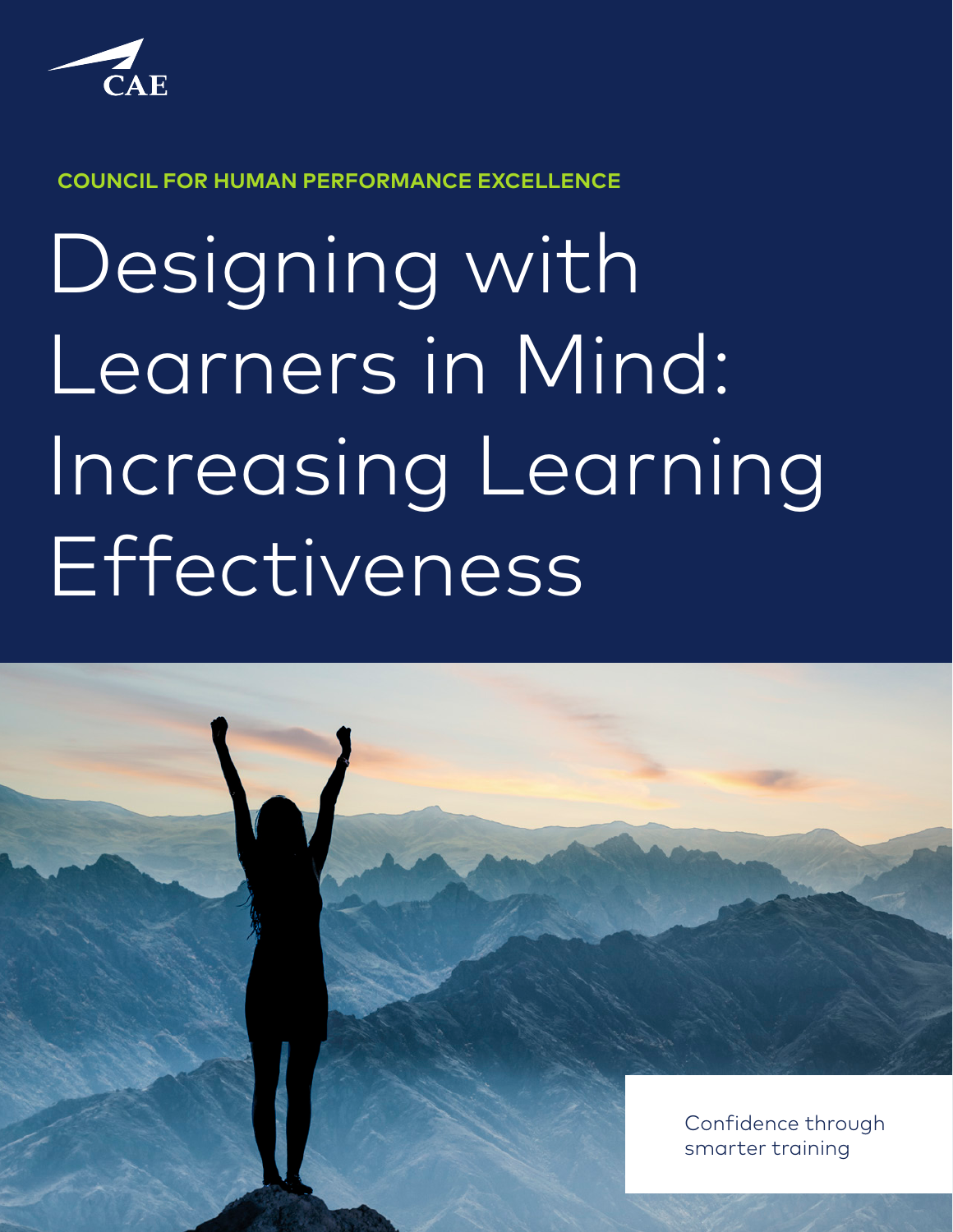

**COUNCIL FOR HUMAN PERFORMANCE EXCELLENCE**

Designing with Learners in Mind: Increasing Learning Effectiveness

Confidence through smarter training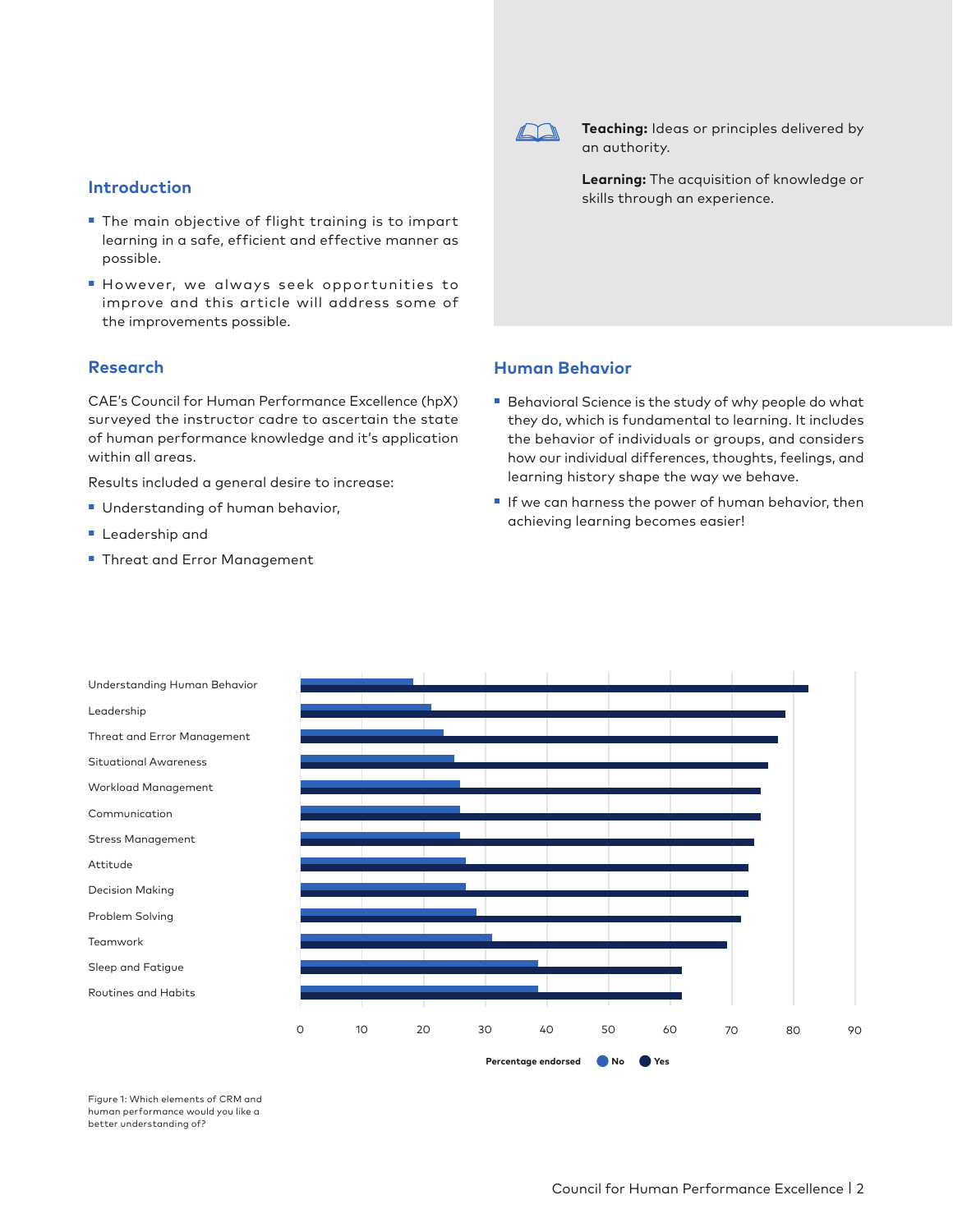

**Teaching:** Ideas or principles delivered by an authority.

**Learning:** The acquisition of knowledge or skills through an experience.

# **Human Behavior**

- Behavioral Science is the study of why people do what they do, which is fundamental to learning. It includes the behavior of individuals or groups, and considers how our individual differences, thoughts, feelings, and learning history shape the way we behave.
- If we can harness the power of human behavior, then achieving learning becomes easier!



Figure 1: Which elements of CRM and human performance would you like a better understanding of?

- The main objective of flight training is to impart learning in a safe, efficient and effective manner as possible.
- However, we always seek opportunities to improve and this article will address some of the improvements possible.

### **Research**

CAE's Council for Human Performance Excellence (hpX) surveyed the instructor cadre to ascertain the state of human performance knowledge and it's application within all areas.

Results included a general desire to increase:

- Understanding of human behavior,
- Leadership and
- Threat and Error Management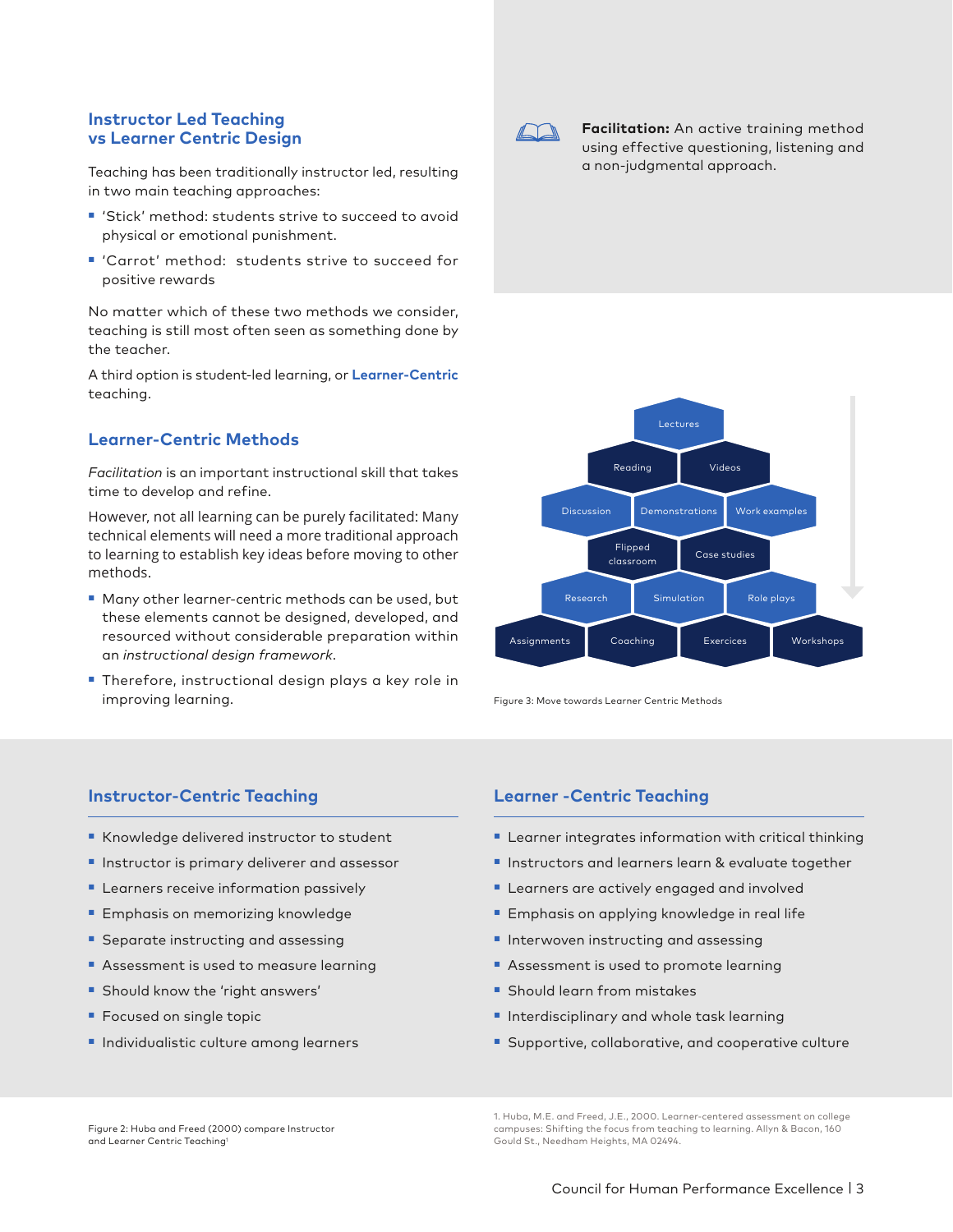### **Instructor Led Teaching vs Learner Centric Design**

Teaching has been traditionally instructor led, resulting in two main teaching approaches:

- 'Stick' method: students strive to succeed to avoid physical or emotional punishment.
- 'Carrot' method: students strive to succeed for positive rewards

No matter which of these two methods we consider, teaching is still most often seen as something done by the teacher.

A third option is student-led learning, or **Learner-Centric** teaching.

## **Learner-Centric Methods**

*Facilitation* is an important instructional skill that takes time to develop and refine.

However, not all learning can be purely facilitated: Many technical elements will need a more traditional approach to learning to establish key ideas before moving to other methods.

- Many other learner-centric methods can be used, but these elements cannot be designed, developed, and resourced without considerable preparation within an *instructional design framework*.
- Therefore, instructional design plays a key role in improving learning.

## **Instructor-Centric Teaching**

- Knowledge delivered instructor to student
- Instructor is primary deliverer and assessor
- Learners receive information passively
- Emphasis on memorizing knowledge
- Separate instructing and assessing
- Assessment is used to measure learning
- Should know the 'right answers'
- Focused on single topic
- Individualistic culture among learners



**Facilitation:** An active training method using effective questioning, listening and a non-judgmental approach.



Figure 3: Move towards Learner Centric Methods

## **Learner -Centric Teaching**

- Learner integrates information with critical thinking
- Instructors and learners learn & evaluate together
- Learners are actively engaged and involved
- Emphasis on applying knowledge in real life
- Interwoven instructing and assessing
- Assessment is used to promote learning
- Should learn from mistakes
- Interdisciplinary and whole task learning
- Supportive, collaborative, and cooperative culture

Figure 2: Huba and Freed (2000) compare Instructor and Learner Centric Teaching1

1. Huba, M.E. and Freed, J.E., 2000. Learner-centered assessment on college campuses: Shifting the focus from teaching to learning. Allyn & Bacon, 160 Gould St., Needham Heights, MA 02494.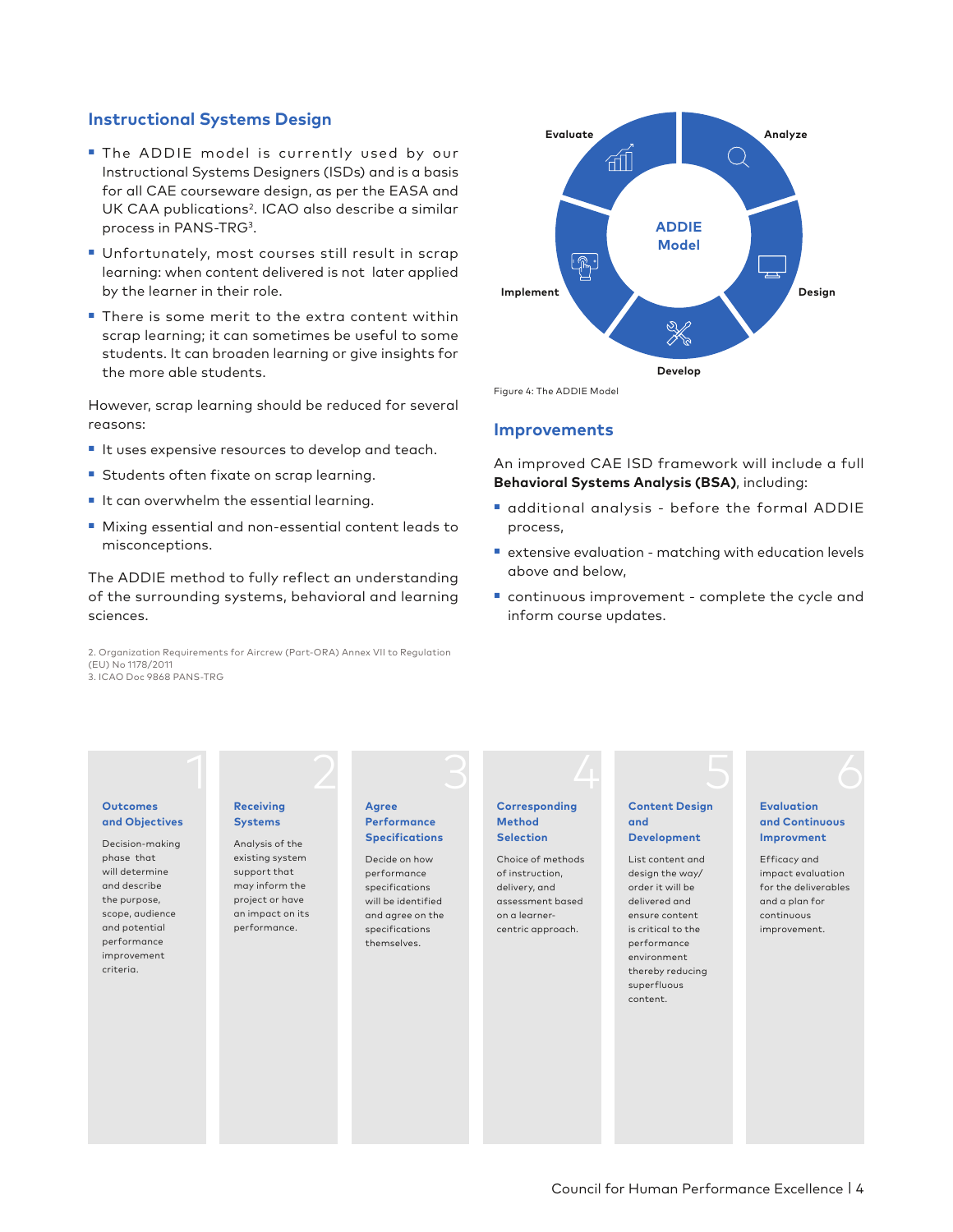## **Instructional Systems Design**

- The ADDIE model is currently used by our Instructional Systems Designers (ISDs) and is a basis for all CAE courseware design, as per the EASA and UK CAA publications<sup>2</sup>. ICAO also describe a similar process in PANS-TRG3.
- Unfortunately, most courses still result in scrap learning: when content delivered is not later applied by the learner in their role.
- There is some merit to the extra content within scrap learning; it can sometimes be useful to some students. It can broaden learning or give insights for the more able students.

However, scrap learning should be reduced for several reasons:

- It uses expensive resources to develop and teach.
- Students often fixate on scrap learning.
- It can overwhelm the essential learning.
- Mixing essential and non-essential content leads to misconceptions.

The ADDIE method to fully reflect an understanding of the surrounding systems, behavioral and learning sciences.

2. Organization Requirements for Aircrew (Part-ORA) Annex VII to Regulation (EU) No 1178/2011 3. ICAO Doc 9868 PANS-TRG



Figure 4: The ADDIE Model

#### **Improvements**

An improved CAE ISD framework will include a full **Behavioral Systems Analysis (BSA)**, including:

- additional analysis before the formal ADDIE process,
- extensive evaluation matching with education levels above and below,
- continuous improvement complete the cycle and inform course updates.

#### **Outcomes and Objectives**

Decision-making phase that will determine and describe the purpose, scope, audience and potential performance improvement criteria.

### **Receiving Systems**

Analysis of the existing system support that may inform the project or have an impact on its performance.

#### **Agree Performance Specifications**

Decide on how performance specifications will be identified and agree on the specifications themselves.

#### **Corresponding Method Selection**

1 2 3 4 5 6

Choice of methods of instruction, delivery, and assessment based on a learnercentric approach.

#### **Content Design and Development**

List content and design the way/ order it will be delivered and ensure content is critical to the performance environment thereby reducing superfluous content.

#### **Evaluation and Continuous Improvment**

Efficacy and impact evaluation for the deliverables and a plan for continuous improvement.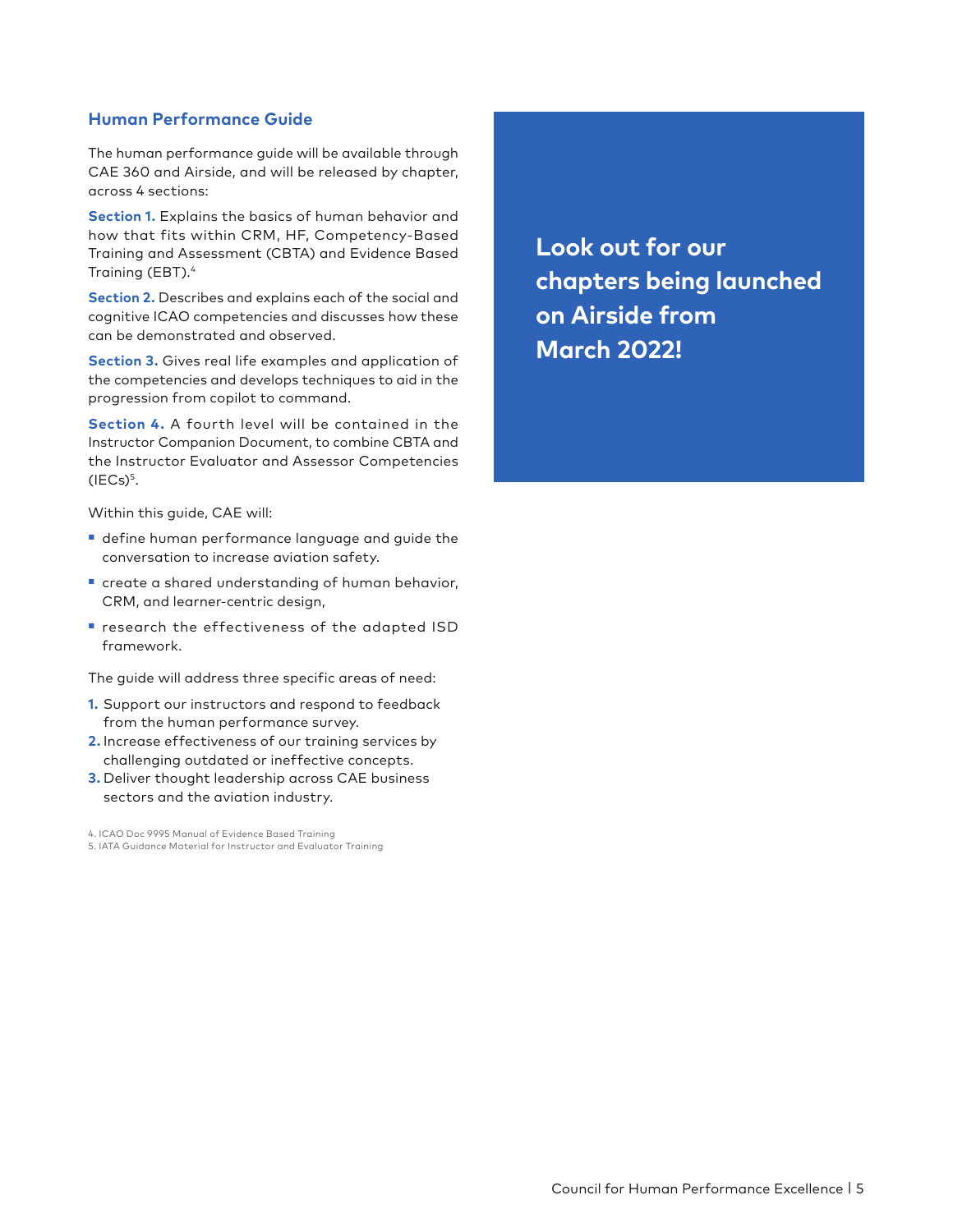## **Human Performance Guide**

The human performance guide will be available through CAE 360 and Airside, and will be released by chapter, across 4 sections:

**Section 1.** Explains the basics of human behavior and how that fits within CRM, HF, Competency-Based Training and Assessment (CBTA) and Evidence Based Training (EBT).4

**Section 2.** Describes and explains each of the social and cognitive ICAO competencies and discusses how these can be demonstrated and observed.

**Section 3.** Gives real life examples and application of the competencies and develops techniques to aid in the progression from copilot to command.

**Section 4.** A fourth level will be contained in the Instructor Companion Document, to combine CBTA and the Instructor Evaluator and Assessor Competencies  $(IECs)^5$ .

Within this guide, CAE will:

- define human performance language and guide the conversation to increase aviation safety.
- create a shared understanding of human behavior, CRM, and learner-centric design,
- research the effectiveness of the adapted ISD framework.

The guide will address three specific areas of need:

- **1.** Support our instructors and respond to feedback from the human performance survey.
- **2.** Increase effectiveness of our training services by challenging outdated or ineffective concepts.
- **3.** Deliver thought leadership across CAE business sectors and the aviation industry.

4. ICAO Doc 9995 Manual of Evidence Based Training

5. IATA Guidance Material for Instructor and Evaluator Training

**Look out for our chapters being launched on Airside from March 2022!**